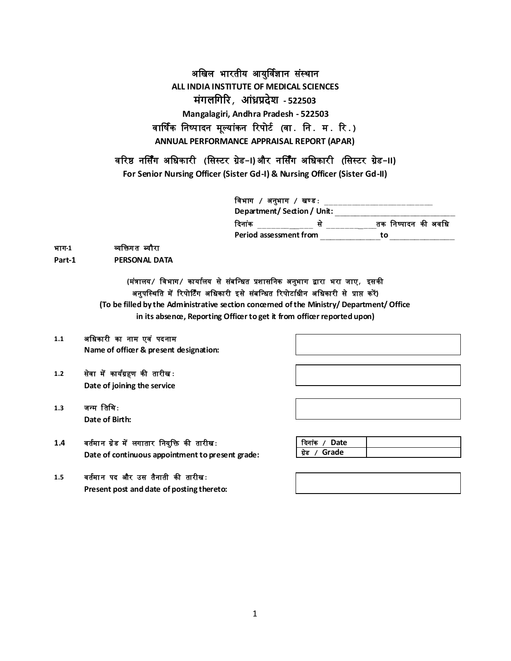अखिल भारतीय आयुर्विज्ञान संस्थान **ALL INDIA INSTITUTE OF MEDICAL SCIENCES मंगलगगरि, आंध्रप्रदेश - 522503 Mangalagiri, Andhra Pradesh - 522503** वार्षिक खनष्पादन मूलयांकन ररपोर्ि **(**वा**.** खन**.** म**.** रर**.) ANNUAL PERFORMANCE APPRAISAL REPORT (APAR)**

वररष्ठ नर्सिंग अखिकारी **(**खसस्र्र ग्रेड**-I)** और नर्सिंग अखिकार ी **(**खसस्र्र ग्रेड**-II)**

**For Senior Nursing Officer (Sister Gd-I) & Nursing Officer (Sister Gd-II)**

| विभाग  / अनुभाग / खण्डः  |                     |
|--------------------------|---------------------|
| Department/Section/Unit: |                     |
| दिनांक                   | तक निष्पादन की अवधि |
| Period assessment from   | t∩                  |

#### भाग**-1** व्यखिग त ब्यौरा

Part-1 **PERSONAL DATA** 

## **(**म ंत्रालय**/** खवभाग**/** कायािलय सेस ंबखधित प्रशासखनक अनुभाग द्वारा भरा जाए**,** इसकी अनुपखस्थखत मेंररपोर्र्िंग अखिकारी इसेस ंबखधित ररपोर्ाििीन अखिकारी से प्राप्त करें**)**

**(To be filled by the Administrative section concerned of the Ministry/ Department/ Office in its absence, Reporting Officer to get it from officer reported upon)**

#### **1.1** अखिकारी का नाम एव ं पदनाम **Name of officer & present designation:**

- **1.2** सेवा मेंकायिग्रहण की तारीि**: Date of joining the service**
- 1.3 जन्म तिथि: **Date of Birth:**

## 1.4 वर्तमान ग्रेड में लगातार नियुक्ति की तारीख: **Date of continuous appointment to present grade:**

## 1.5 वर्तमान पद और उस तैनाती की तारीख: **Present post and date of posting thereto:**

| रदेनांक / Date   |  |
|------------------|--|
| / Grade<br>ग्रेड |  |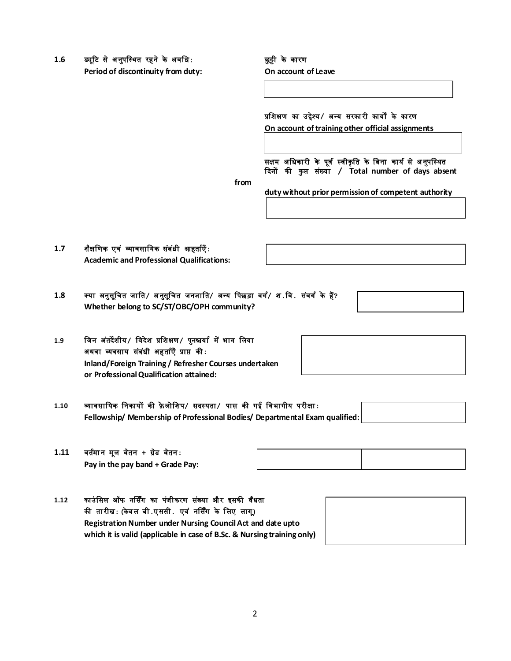1.6 ड्यूटि से अनुपस्थित रहने के अवधि: **we say that we gate** के कारण

**Period of discontinuity from duty: On account of Leave**

## प्रखशक्षण का उद्देश्य**/** अधय सरका री कायों के कारण

**On account of training other official assignments** 

सक्षम अधिकारी के पूर्व स्वीकृति के बिना कार्य से अनुपस्थित ददनों की कु ल स ंख्या **/ Total number of days absent** 

**from**

**duty without prior permission of competent authority**

**1.7** श ैक्षखणक एव ं व्यावसाखयक स ंब ंिी आहतािएँ**: Academic and Professional Qualifications:**

- **1.8** क्या अनुसूखित जाखत**/** अ नुसूखित जनजाखत**/** अधय खपछड़ा वगि**/** श**.**खव**.** स ंवगि के हैं**? Whether belong to SC/ST/OBC/OPH community?**
- **1.9** खजन अ ंतदेशीय**/** खवदेश प्रखशक्षण**/** पुनश्चयाि मेंभाग खलया अथवा व्यवसाय स ंब ंिी अहतािएँ प्राप्त की**: Inland/Foreign Training / Refresher Courses undertaken or Professional Qualification attained:**
- **1.10** व्यावसाखयक खनकायों की फ़े लोखशप**/** सदस्यता**/** पास की गई खवभागीय परीक्षा**: Fellowship/ Membership of Professional Bodies/ Departmental Exam qualified:**
- **1.11** वतिमा न मूल व ेतन **+** ग्र ेड व ेतन**: Pay in the pay band + Grade Pay:**

| 1.12 | काउंसिल ऑफ नर्सिंग का पंजीकरण संख्या और इसकी वैधता                      |  |
|------|-------------------------------------------------------------------------|--|
|      | की तारीखः (केवल बी.एससी. एवं नर्सिंग के लिए लाग्)                       |  |
|      | Registration Number under Nursing Council Act and date upto             |  |
|      | which it is valid (applicable in case of B.Sc. & Nursing training only) |  |

2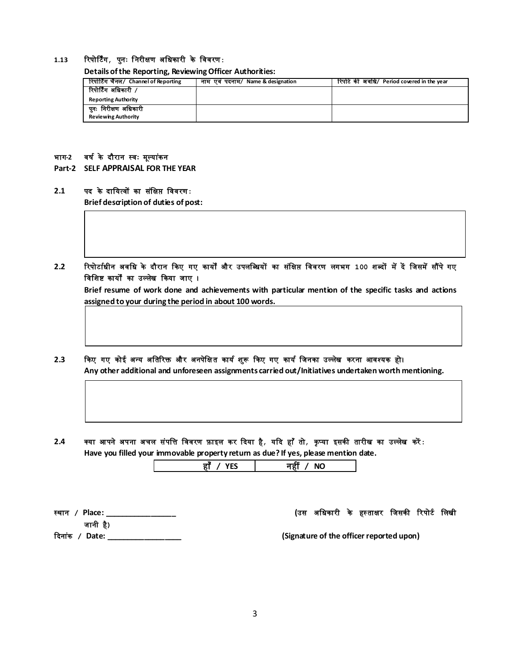#### **1.13** ररपोर्र्िंग**,** पुनः ख नरीक्षण अखिकारी के खववरण**:**

**Details of the Reporting, Reviewing Officer Authorities:**

| रिपोर्टिंग चैनल/ Channel of Reporting | नाम एवं पदनाम/ Name & designation | रिपोर्ट की अवधि/ Period covered in the year |
|---------------------------------------|-----------------------------------|---------------------------------------------|
| रिपोर्टिंग अधिकारी /                  |                                   |                                             |
| <b>Reporting Authority</b>            |                                   |                                             |
| पुनः निरीक्षण अधिकारी                 |                                   |                                             |
| <b>Reviewing Authority</b>            |                                   |                                             |

#### भाग**-2** वषि के दौरान स्वः मूलया ंकन

**Part-2 SELF APPRAISAL FOR THE YEAR**

#### **2.1** पद के दाखयत्वों का स ंखक्षप्त खववरण**:**

**Brief description of duties of post:**

**2.2** ररपोर्ाििीन अवखि के दौरान दकए गए कायों और उपलखब्ियों का स ंखक्षप्त खववरण लगभग **100** शब्दों मेंदें खजसमेंसौंपेगए विशिष्ट कार्यों का उल्लेख किया जाए ।

**Brief resume of work done and achievements with particular mention of the specific tasks and actions assigned to your during the period in about 100 words.**

# **2.3** दकए गए कोई अधय अखतररि और अनपेखक्षत कायि श ुरू दकए गए कायि खजनका उललेि करना आवश्यक हो।

**Any other additional and unforeseen assignments carried out/Initiatives undertaken worth mentioning.**

2.4 क्या आपने अपना अचल संपत्ति विवरण फ़ाइल कर दिया है*, य*दि हाँ तो*, कृ*प्या इसकी तारीख का उल्लेख करें: **Have you filled your immovable property return as due? If yes, please mention date.**

| NK |
|----|

जानी है**)**

स्थान **/ Place: \_\_\_\_\_\_\_\_\_\_\_\_\_\_\_\_\_ (**उस अखिकारी के हस् ताक्षर खजसकी ररपोर्ि खलिी

ददना ंक **/ Date: \_\_\_\_\_\_\_\_\_\_\_\_\_\_\_\_\_\_ (Signature of the officer reported upon)**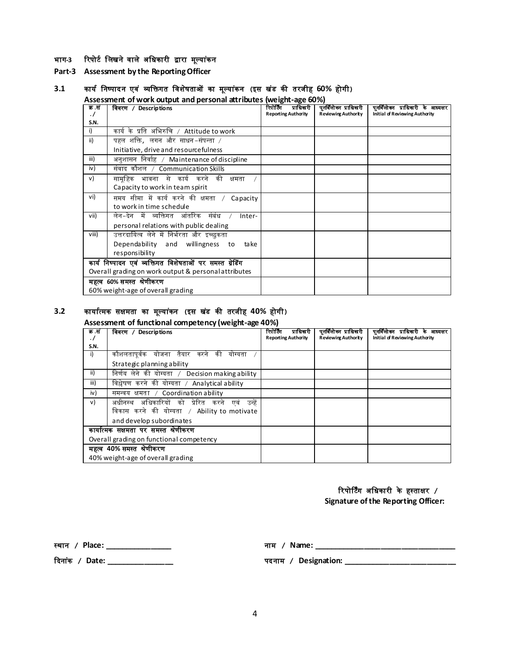#### भाग-3 रिपोर्ट लिखने वाले अधिकारी द्वारा मूल्यांकन

**Part-3 Assessment by the Reporting Officer**

## **3.1** कायि खनष्पादन एव ं व्यखिगत खवश ेषताओं का मूलया ंकन **(**इस ि ंड की तरजीह **60%** होगी**)**

**Assessment of work output and personal attributes (weight-age 60%)**

| क .स    | विवरण / Descriptions                                     | रिपोर्टिंग<br>प्राधिकारी   | पूनर्विलोकन प्राधिकारी     | पुनर्विलोक्न प्राधिकारी के आध्यक्षर   |
|---------|----------------------------------------------------------|----------------------------|----------------------------|---------------------------------------|
| $\cdot$ |                                                          | <b>Reporting Authority</b> | <b>Reviewing Authority</b> | <b>Initial of Reviewing Authority</b> |
| S.N.    |                                                          |                            |                            |                                       |
| i)      | कार्यके प्रति अभिरुचि / Attitude to work                 |                            |                            |                                       |
| ii)     | पहल शक्ति, लगन और साधन-संपन्ता /                         |                            |                            |                                       |
|         | Initiative, drive and resourcefulness                    |                            |                            |                                       |
| iii)    | अनुशासन निर्वाह / Maintenance of discipline              |                            |                            |                                       |
| iv)     | संवाद कौशल / Communication Skills                        |                            |                            |                                       |
| v)      | सामूहिक भावना से कार्य करने की<br>क्षमता                 |                            |                            |                                       |
|         | Capacity to work in team spirit                          |                            |                            |                                       |
| vi)     | समय सीमा में कार्य करने की क्षमता / Capacity             |                            |                            |                                       |
|         | to work in time schedule                                 |                            |                            |                                       |
| vii)    | लेन-देन में व्यक्तिगत आंतरिक संबंध<br>Inter-             |                            |                            |                                       |
|         | personal relations with public dealing                   |                            |                            |                                       |
| viii)   | उत्तरदायित्व लेने में निर्भरता और इच्छकता                |                            |                            |                                       |
|         | Dependability and willingness to<br>take                 |                            |                            |                                       |
|         | responsibility                                           |                            |                            |                                       |
|         | कार्य निष्पादन एवं व्यक्तिगत विशेषताओं पर समस्त ग्रेडिंग |                            |                            |                                       |
|         | Overall grading on work output & personal attributes     |                            |                            |                                       |
|         | महत्व 60% समस्त श्रेणीकरण                                |                            |                            |                                       |
|         | 60% weight-age of overall grading                        |                            |                            |                                       |

#### **3.2** कायाित्मक सक्षमता का मूलया ंकन **(**इस ि ंड की तरजीह **40%** होगी**)**

#### **Assessment of functional competency (weight-age 40%)**

| क.सं |                                                    | रिपोर्टिंग<br>प्राधिकारी   | पुनर्विलोका प्राधिकारी     | पुनर्विलोकन प्राधिकारी के आध्यक्षर |
|------|----------------------------------------------------|----------------------------|----------------------------|------------------------------------|
|      | <b>Descriptions</b><br>विवरण /                     |                            |                            |                                    |
| . /  |                                                    | <b>Reporting Authority</b> | <b>Reviewing Authority</b> | Initial of Reviewing Authority     |
| S.N. |                                                    |                            |                            |                                    |
|      | कौशलतापर्वक योजना तैयार करने<br>की<br>योग्यता      |                            |                            |                                    |
|      | Strategic planning ability                         |                            |                            |                                    |
| ii)  | निर्णय लेने की योग्यता / Decision making ability   |                            |                            |                                    |
| iii) | विश्लेषण करने की योग्यता / Analytical ability      |                            |                            |                                    |
| iv)  | समन्वय क्षमता / Coordination ability               |                            |                            |                                    |
| v)   | अधीनस्थ अधिकारियों को प्रेरित करने<br>उन्हें<br>एव |                            |                            |                                    |
|      | विकास करने की योग्यता / Ability to motivate        |                            |                            |                                    |
|      | and develop subordinates                           |                            |                            |                                    |
|      | कायात्मक सक्षमता पर समस्त श्रेणीकरण                |                            |                            |                                    |
|      | Overall grading on functional competency           |                            |                            |                                    |
|      | महत्व 40% समस्त श्रेणीकरण                          |                            |                            |                                    |
|      | 40% weight-age of overall grading                  |                            |                            |                                    |

#### ररपोर्र्िंग अखिकारी के हस्ताक्षर **/**

**Signature of the Reporting Officer:**

स्थान **/ Place: \_\_\_\_\_\_\_\_\_\_\_\_\_\_\_\_** नाम **/ Name: \_\_\_\_\_\_\_\_\_\_\_\_\_\_\_\_\_\_\_\_\_\_\_\_\_\_\_\_\_\_\_\_\_\_**

ददना ंक **/ Date: \_\_\_\_\_\_\_\_\_\_\_\_\_\_\_\_** पदनाम **/ Designation: \_\_\_\_\_\_\_\_\_\_\_\_\_\_\_\_\_\_\_\_\_\_\_\_\_\_\_**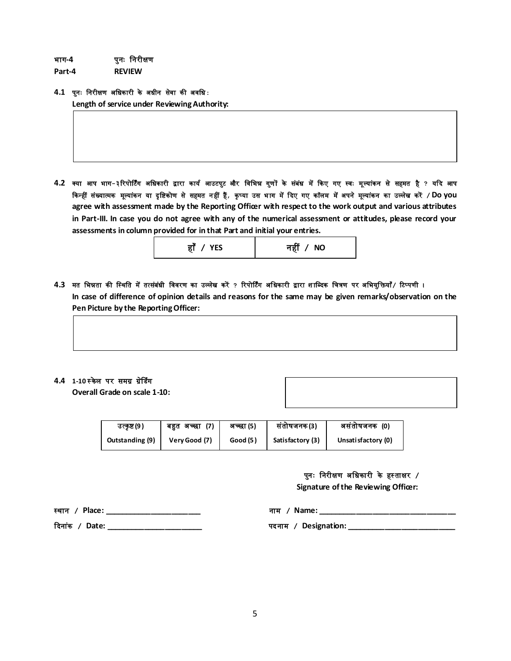भाग**-4** पुनः खनरीक्षण

**Part-4 REVIEW**

#### **4.1** प ुनः खनरीक्षण अखिकारी के अिीन सेवा की अवखि**:**

**Length of service under Reviewing Authority:**

4.2 क्या आप भाग-३रिपोर्टिंग अधिकारी द्वारा कार्य आउटपुट और विभिन्न गुणों के संबंध में किए गए स्वः मूल्यांकन से सहमत है ? यदि आप दकधहीं संख्यात्मक मूलया ंकन या दृ खष्टकोण से सहमत न हीं हैं**,** कृ प्या उस भ ाग मेंददए गए कॉलम मेंअपन ेमूलया ंकन का उलल ेि करें **/Do you agree with assessment made by the Reporting Officer with respect to the work output and various attributes in Part-III. In case you do not agree with any of the numerical assessment or attitudes, please record your assessments in column provided for in that Part and initial your entries.**

| नहीं <i>/</i> NO |
|------------------|
|                  |

4.3 मत भिन्नता की स्थिति में तत्संबंधी विवरण का उल्लेख करें ? रिपोर्टिंग अधिकारी द्वारा शाब्दिक चित्रण पर अभियुक्तियाँ/ टिप्पणी । **In case of difference of opinion details and reasons for the same may be given remarks/observation on the Pen Picture by the Reporting Officer:**

### **4.4 1-10 स्केल पर समग्र ग्रेडिंग**

**Overall Grade on scale 1-10:**

| उत्कृष्ट (9 )          | (7)<br>बहुत अच्छा | अच्छा (5) | संतोषजनक(3)      | असंतोषजनक (0)       |
|------------------------|-------------------|-----------|------------------|---------------------|
| <b>Outstanding (9)</b> | Very Good (7)     | Good (5)  | Satisfactory (3) | Unsati sfactory (0) |

### पुनः खनरीक्षण अखिकारी के हस् ताक्षर **/**

**Signature of the Reviewing Officer:** 

स्थान **/ Place: \_\_\_\_\_\_\_\_\_\_\_\_\_\_\_\_\_\_\_\_\_\_\_** नाम **/ Name: \_\_\_\_\_\_\_\_\_\_\_\_\_\_\_\_\_\_\_\_\_\_\_\_\_\_\_\_\_\_\_\_\_**

ददना ंक **/ Date: \_\_\_\_\_\_\_\_\_\_\_\_\_\_\_\_\_\_\_\_\_\_\_** पदनाम **/ Designation: \_\_\_\_\_\_\_\_\_\_\_\_\_\_\_\_\_\_\_\_\_\_\_\_\_\_**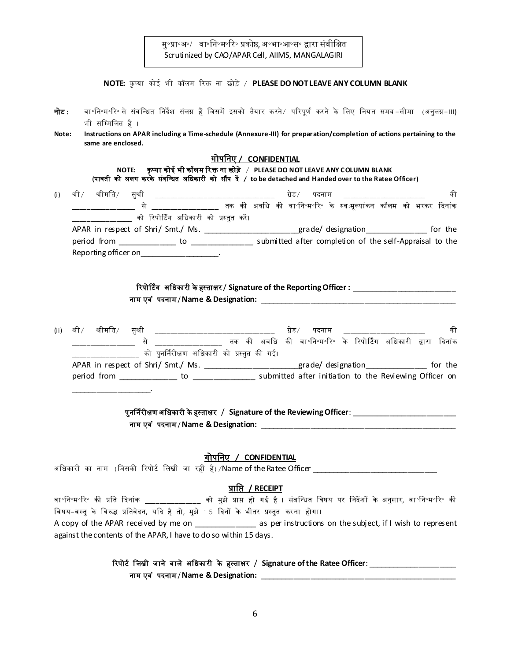मु॰प्रा॰अ॰/ वा॰नि॰म॰रि॰ प्रकोष्ठ, अ॰भा॰आ॰स॰ द्वारा संवीक्षित Scrutinized by CAO/APAR Cell, AIIMS, MANGALAGIRI

|                |                    |                                                                                       |                              |                           | NOTE: कृप्या कोई भी कॉलम रिक्त ना छोड़े / PLEASE DO NOT LEAVE ANY COLUMN BLANK                                                                                                                                                               |  |    |
|----------------|--------------------|---------------------------------------------------------------------------------------|------------------------------|---------------------------|----------------------------------------------------------------------------------------------------------------------------------------------------------------------------------------------------------------------------------------------|--|----|
| नोट :<br>Note: | भी सम्मिलित है ।   |                                                                                       |                              |                           | वा॰नि॰म॰रि॰ से संबन्धित निर्देश संलग्न हैं जिसमें इसको तैयार करने/ परिपूर्ण करने के लिए नियत समय−सीमा (अनुलग्न−।।।)<br>Instructions on APAR including a Time-schedule (Annexure-III) for preparation/completion of actions pertaining to the |  |    |
|                | same are enclosed. |                                                                                       |                              |                           |                                                                                                                                                                                                                                              |  |    |
|                |                    |                                                                                       | <u>गोपनिए / CONFIDENTIAL</u> |                           |                                                                                                                                                                                                                                              |  |    |
|                |                    |                                                                                       |                              |                           | NOTE: कृप्या कोई भी कॉलम रिक्त ना छोड़े / PLEASE DO NOT LEAVE ANY COLUMN BLANK<br>(पावती को अलग करके संबन्धित अधिकारी को सौंप दें / to be detached and Handed over to the Ratee Officer)                                                     |  |    |
| (i)            |                    |                                                                                       |                              |                           | श्री श्रीमति/ सुश्री ___________________________ ग्रेड/ पदनाम __________________                                                                                                                                                             |  | की |
|                |                    |                                                                                       |                              |                           |                                                                                                                                                                                                                                              |  |    |
|                |                    | ___________ को रिपोर्टिंग अधिकारी को प्रस्तुत करें।                                   |                              |                           |                                                                                                                                                                                                                                              |  |    |
|                |                    |                                                                                       |                              |                           | APAR in respect of Shri/ Smt./ Ms. _____________________grade/designation________________ for the                                                                                                                                            |  |    |
|                |                    |                                                                                       |                              |                           |                                                                                                                                                                                                                                              |  |    |
|                |                    | Reporting officer on_______________________.                                          |                              |                           |                                                                                                                                                                                                                                              |  |    |
|                |                    |                                                                                       |                              |                           | रिपोर्टिंग अधिकारी के हस्ताक्षर / Signature of the Reporting Officer : ________________________                                                                                                                                              |  |    |
|                |                    |                                                                                       |                              |                           |                                                                                                                                                                                                                                              |  |    |
|                |                    |                                                                                       |                              |                           |                                                                                                                                                                                                                                              |  |    |
| (ii)           |                    |                                                                                       |                              |                           | श्री श्रीमति/ सुश्री ___________________________ ग्रेड/ पदनाम _______                                                                                                                                                                        |  | की |
|                |                    |                                                                                       |                              |                           |                                                                                                                                                                                                                                              |  |    |
|                |                    | को पुनर्निरीक्षण अधिकारी को प्रस्तुत की गई।                                           |                              |                           |                                                                                                                                                                                                                                              |  |    |
|                |                    |                                                                                       |                              |                           | APAR in respect of Shri/ Smt./ Ms. _____________________grade/designation_______________ for the                                                                                                                                             |  |    |
|                |                    |                                                                                       |                              |                           |                                                                                                                                                                                                                                              |  |    |
|                |                    |                                                                                       |                              |                           |                                                                                                                                                                                                                                              |  |    |
|                |                    |                                                                                       |                              |                           | पुनर्निरीक्षण अधिकारी के हस्ताक्षर / Signature of the Reviewing Officer: _________________________                                                                                                                                           |  |    |
|                |                    |                                                                                       |                              |                           |                                                                                                                                                                                                                                              |  |    |
|                |                    |                                                                                       |                              |                           |                                                                                                                                                                                                                                              |  |    |
|                |                    |                                                                                       | गोपनिए / CONFIDENTIAL        |                           |                                                                                                                                                                                                                                              |  |    |
|                |                    |                                                                                       |                              |                           | अधिकारी का नाम  (जिसकी रिपोर्ट लिखी जा रही है) /Name of the Ratee Officer                                                                                                                                                                    |  |    |
|                |                    |                                                                                       |                              | <u>प्राप्ति / RECEIPT</u> |                                                                                                                                                                                                                                              |  |    |
|                |                    |                                                                                       |                              |                           | वा॰नि॰म॰रि॰ की प्रति दिनांक ______________ को मुझे प्राप्त हो गई है । संबन्धित विषय पर निर्देशों के अनुसार, वा॰नि॰म॰रि॰ की                                                                                                                   |  |    |
|                |                    | विषय-वस्तु के विरुद्ध प्रतिवेदन, यदि है तो, मुझे 15 दिनों के भीतर प्रस्तुत करना होगा। |                              |                           |                                                                                                                                                                                                                                              |  |    |
|                |                    |                                                                                       |                              |                           | A copy of the APAR received by me on _________________ as per instructions on the subject, if I wish to represent                                                                                                                            |  |    |
|                |                    | against the contents of the APAR, I have to do so within 15 days.                     |                              |                           |                                                                                                                                                                                                                                              |  |    |
|                |                    |                                                                                       |                              |                           |                                                                                                                                                                                                                                              |  |    |
|                |                    |                                                                                       |                              |                           | रिपोर्ट लिखी जाने वाले अधिकारी के हस्ताक्षर / Signature of the Ratee Officer: __                                                                                                                                                             |  |    |

नाम एव ं पदनाम / **Name & Designation:** \_\_\_\_\_\_\_\_\_\_\_\_\_\_\_\_\_\_\_\_\_\_\_\_\_\_\_\_\_\_\_\_\_\_\_\_\_\_\_\_\_\_\_\_\_\_\_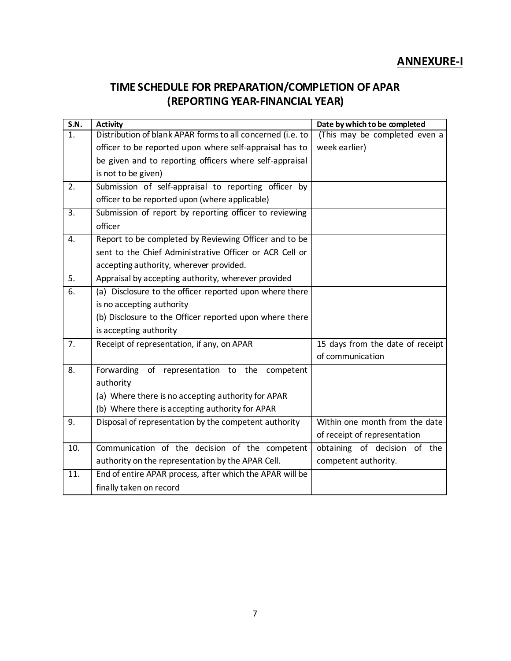# **ANNEXURE-I**

# **TIME SCHEDULE FOR PREPARATION/COMPLETION OF APAR (REPORTING YEAR-FINANCIAL YEAR)**

| S.N.              | <b>Activity</b>                                            | Date by which to be completed    |
|-------------------|------------------------------------------------------------|----------------------------------|
| 1.                | Distribution of blank APAR forms to all concerned (i.e. to | (This may be completed even a    |
|                   | officer to be reported upon where self-appraisal has to    | week earlier)                    |
|                   | be given and to reporting officers where self-appraisal    |                                  |
|                   | is not to be given)                                        |                                  |
| 2.                | Submission of self-appraisal to reporting officer by       |                                  |
|                   | officer to be reported upon (where applicable)             |                                  |
| $\overline{3}$ .  | Submission of report by reporting officer to reviewing     |                                  |
|                   | officer                                                    |                                  |
| 4.                | Report to be completed by Reviewing Officer and to be      |                                  |
|                   | sent to the Chief Administrative Officer or ACR Cell or    |                                  |
|                   | accepting authority, wherever provided.                    |                                  |
| 5.                | Appraisal by accepting authority, wherever provided        |                                  |
| 6.                | (a) Disclosure to the officer reported upon where there    |                                  |
|                   | is no accepting authority                                  |                                  |
|                   | (b) Disclosure to the Officer reported upon where there    |                                  |
|                   | is accepting authority                                     |                                  |
| 7.                | Receipt of representation, if any, on APAR                 | 15 days from the date of receipt |
|                   |                                                            | of communication                 |
| 8.                | Forwarding of representation to the<br>competent           |                                  |
|                   | authority                                                  |                                  |
|                   | (a) Where there is no accepting authority for APAR         |                                  |
|                   | (b) Where there is accepting authority for APAR            |                                  |
| 9.                | Disposal of representation by the competent authority      | Within one month from the date   |
|                   |                                                            | of receipt of representation     |
| 10.               | Communication of the decision of the competent             | obtaining of decision of the     |
|                   | authority on the representation by the APAR Cell.          | competent authority.             |
| $\overline{11}$ . | End of entire APAR process, after which the APAR will be   |                                  |
|                   | finally taken on record                                    |                                  |